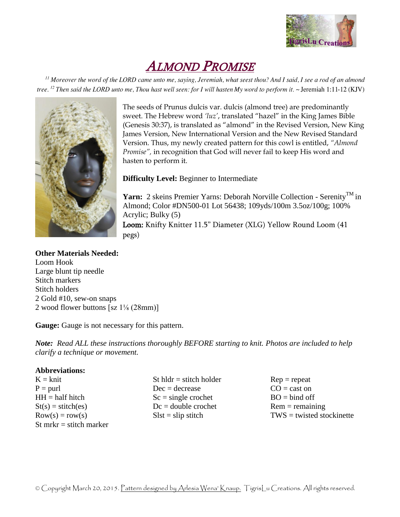

# ALMOND PROMISE

 $^{11}$  Moreover the word of the LORD came unto me, saying, Jeremiah, what seest thou? And I said, I see a rod of an almond tree. <sup>12</sup> Then said the LORD unto me, Thou hast well seen: for I will hasten My word to perform it. ~ Jeremiah 1:11-12 (KJV)



The seeds of Prunus dulcis var. dulcis (almond tree) are predominantly sweet. The Hebrew word *'luz'*, translated "hazel" in the King James Bible (Genesis 30:37), is translated as "almond" in the Revised Version, New King James Version, New International Version and the New Revised Standard Version. Thus, my newly created pattern for this cowl is entitled, *"Almond Promise",* in recognition that God will never fail to keep His word and hasten to perform it.

# **Difficulty Level:** Beginner to Intermediate

Yarn: 2 skeins Premier Yarns: Deborah Norville Collection - Serenity<sup>TM</sup> in Almond; Color #DN500-01 Lot 56438; 109yds/100m 3.5oz/100g; 100% Acrylic; Bulky (5) Loom: Knifty Knitter 11.5" Diameter (XLG) Yellow Round Loom (41 pegs)

#### **Other Materials Needed:**

Loom Hook Large blunt tip needle Stitch markers Stitch holders 2 Gold #10, sew-on snaps 2 wood flower buttons [sz 1⅛ (28mm)]

**Gauge:** Gauge is not necessary for this pattern.

*Note: Read ALL these instructions thoroughly BEFORE starting to knit. Photos are included to help clarify a technique or movement.*

#### **Abbreviations:**

 $K = k$ nit  $P =$  purl  $HH = half hitch$  $St(s) = stitch(es)$  $Row(s) = row(s)$ St mrkr  $=$  stitch marker St hldr  $=$  stitch holder  $Dec = decrease$  $Sc = single crochet$  $Dc =$  double crochet  $S$ lst = slip stitch

 $Rep = repeat$  $CO =$  cast on  $BO = bind$  off  $Rem = remaining$  $TWS =$  twisted stockinette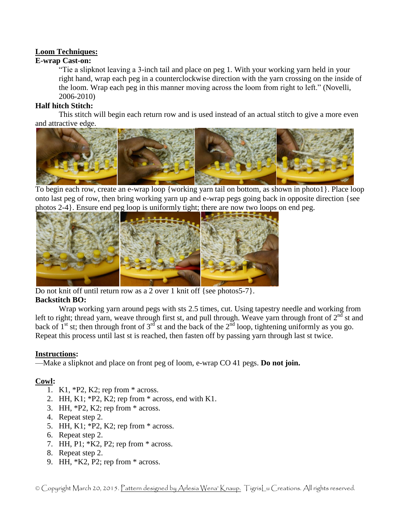# **Loom Techniques:**

## **E-wrap Cast-on:**

"Tie a slipknot leaving a 3-inch tail and place on peg 1. With your working yarn held in your right hand, wrap each peg in a counterclockwise direction with the yarn crossing on the inside of the loom. Wrap each peg in this manner moving across the loom from right to left." (Novelli, 2006-2010)

## **Half hitch Stitch:**

This stitch will begin each return row and is used instead of an actual stitch to give a more even and attractive edge.



To begin each row, create an e-wrap loop {working yarn tail on bottom, as shown in photo1}. Place loop onto last peg of row, then bring working yarn up and e-wrap pegs going back in opposite direction {see photos 2-4}. Ensure end peg loop is uniformly tight; there are now two loops on end peg.



Do not knit off until return row as a 2 over 1 knit off {see photos5-7}.

# **Backstitch BO:**

Wrap working yarn around pegs with sts 2.5 times, cut. Using tapestry needle and working from left to right; thread yarn, weave through first st, and pull through. Weave yarn through front of  $2^{nd}$  st and back of  $1<sup>st</sup>$  st; then through front of 3<sup>rd</sup> st and the back of the  $2<sup>nd</sup>$  loop, tightening uniformly as you go. Repeat this process until last st is reached, then fasten off by passing yarn through last st twice.

#### **Instructions:**

—Make a slipknot and place on front peg of loom, e-wrap CO 41 pegs. **Do not join.**

# **Cowl:**

- 1. K1, \*P2, K2; rep from \* across.
- 2. HH, K1;  $*P2$ , K2; rep from  $*$  across, end with K1.
- 3. HH, \*P2, K2; rep from \* across.
- 4. Repeat step 2.
- 5. HH, K1; \*P2, K2; rep from \* across.
- 6. Repeat step 2.
- 7. HH, P1; \*K2, P2; rep from \* across.
- 8. Repeat step 2.
- 9. HH, \*K2, P2; rep from \* across.

© Copyright March 20, 2015. Pattern designed by Arlesia Wena' Knaup. TigrisLu Creations. All rights reserved.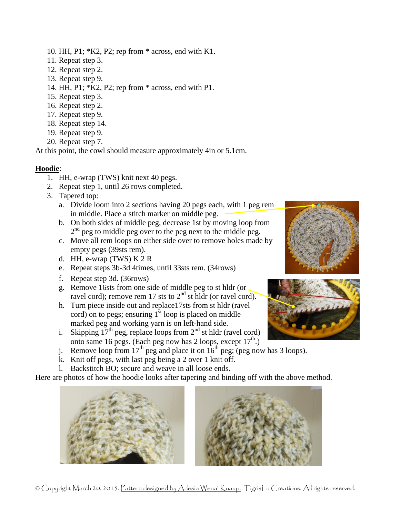- 10. HH, P1; \*K2, P2; rep from \* across, end with K1.
- 11. Repeat step 3.
- 12. Repeat step 2.
- 13. Repeat step 9.
- 14. HH, P1; \*K2, P2; rep from \* across, end with P1.
- 15. Repeat step 3.
- 16. Repeat step 2.
- 17. Repeat step 9.
- 18. Repeat step 14.
- 19. Repeat step 9.
- 20. Repeat step 7.

At this point, the cowl should measure approximately 4in or 5.1cm.

# **Hoodie**:

- 1. HH, e-wrap (TWS) knit next 40 pegs.
- 2. Repeat step 1, until 26 rows completed.
- 3. Tapered top:
	- a. Divide loom into 2 sections having 20 pegs each, with 1 peg rem in middle. Place a stitch marker on middle peg.
	- b. On both sides of middle peg, decrease 1st by moving loop from 2<sup>nd</sup> peg to middle peg over to the peg next to the middle peg.
	- c. Move all rem loops on either side over to remove holes made by empty pegs (39sts rem).
	- d. HH, e-wrap  $(TWS)$  K 2 R
	- e. Repeat steps 3b-3d 4times, until 33sts rem. (34rows)
	- f. Repeat step 3d. (36rows)
	- g. Remove 16sts from one side of middle peg to st hldr (or ravel cord); remove rem 17 sts to  $2<sup>nd</sup>$  st hldr (or ravel cord).
	- h. Turn piece inside out and replace17sts from st hldr (ravel cord) on to pegs; ensuring  $1<sup>st</sup>$  loop is placed on middle marked peg and working yarn is on left-hand side.
	- i. Skipping  $17^{th}$  peg, replace loops from  $2^{nd}$  st hldr (ravel cord) onto same 16 pegs. (Each peg now has 2 loops, except  $17<sup>th</sup>$ .)
	- j. Remove loop from  $17^{th}$  peg and place it on  $16^{th}$  peg; (peg now has 3 loops).
	- k. Knit off pegs, with last peg being a 2 over 1 knit off.
	- l. Backstitch BO; secure and weave in all loose ends.

Here are photos of how the hoodie looks after tapering and binding off with the above method.









© Copyright March 20, 2015. Pattern designed by Arlesia Wena' Knaup. TigrisLu Creations. All rights reserved.